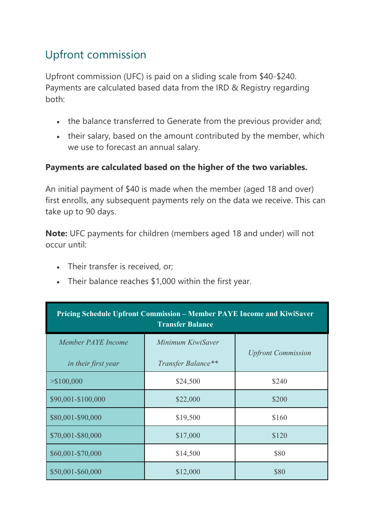## Upfront commission

Upfront commission (UFC) is paid on a sliding scale from \$40-\$240. Payments are calculated based data from the IRD & Registry regarding both:

- the balance transferred to Generate from the previous provider and;
- their salary, based on the amount contributed by the member, which we use to forecast an annual salary.

## **Payments are calculated based on the higher of the two variables.**

An initial payment of \$40 is made when the member (aged 18 and over) first enrolls, any subsequent payments rely on the data we receive. This can take up to 90 days.

**Note:** UFC payments for children (members aged 18 and under) will not occur until:

- Their transfer is received, or;
- Their balance reaches \$1,000 within the first year.

| <b>Pricing Schedule Upfront Commission – Member PAYE Income and KiwiSaver</b><br><b>Transfer Balance</b> |                                         |                           |  |
|----------------------------------------------------------------------------------------------------------|-----------------------------------------|---------------------------|--|
| Member PAYE Income<br>in their first year                                                                | Minimum KiwiSaver<br>Transfer Balance** | <b>Upfront Commission</b> |  |
| $>\$100,000$                                                                                             | \$24,500                                | \$240                     |  |
| \$90,001-\$100,000                                                                                       | \$22,000                                | \$200                     |  |
| \$80,001-\$90,000                                                                                        | \$19,500                                | \$160                     |  |
| \$70,001-\$80,000                                                                                        | \$17,000                                | \$120                     |  |
| \$60,001-\$70,000                                                                                        | \$14,500                                | \$80                      |  |
| \$50,001-\$60,000                                                                                        | \$12,000                                | \$80                      |  |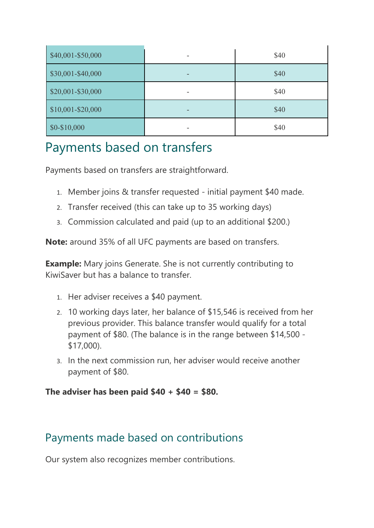| \$40,001-\$50,000 | \$40 |
|-------------------|------|
| \$30,001-\$40,000 | \$40 |
| \$20,001-\$30,000 | \$40 |
| \$10,001-\$20,000 | \$40 |
| $$0-$10,000$      | \$40 |

## Payments based on transfers

Payments based on transfers are straightforward.

- 1. Member joins & transfer requested initial payment \$40 made.
- 2. Transfer received (this can take up to 35 working days)
- 3. Commission calculated and paid (up to an additional \$200.)

**Note:** around 35% of all UFC payments are based on transfers.

**Example:** Mary joins Generate. She is not currently contributing to KiwiSaver but has a balance to transfer.

- 1. Her adviser receives a \$40 payment.
- 2. 10 working days later, her balance of \$15,546 is received from her previous provider. This balance transfer would qualify for a total payment of \$80. (The balance is in the range between \$14,500 - \$17,000).
- 3. In the next commission run, her adviser would receive another payment of \$80.

**The adviser has been paid \$40 + \$40 = \$80.**

## Payments made based on contributions

Our system also recognizes member contributions.